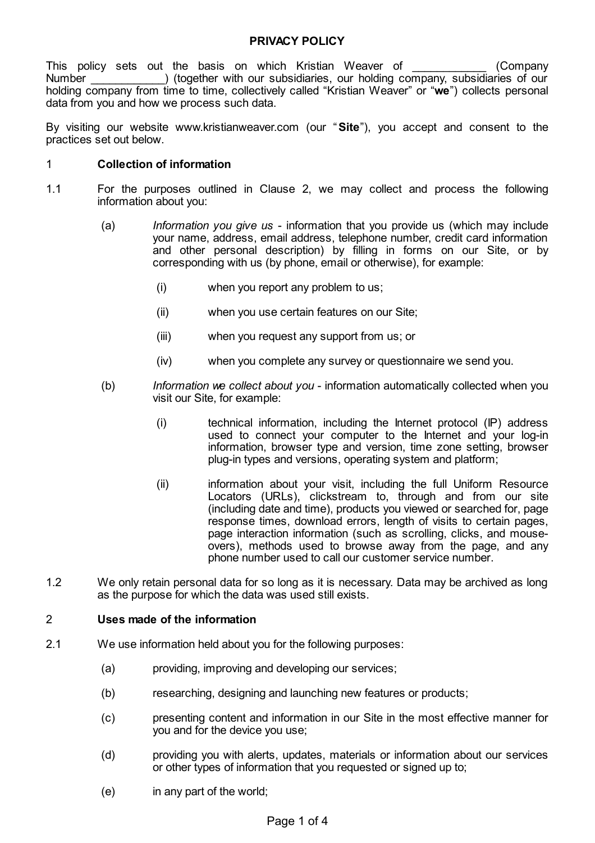# **PRIVACY POLICY**

This policy sets out the basis on which Kristian Weaver of **The Company** Number ) (together with our subsidiaries, our holding company, subsidiaries of our holding company from time to time, collectively called "Kristian Weaver" or "**we**") collects personal data from you and how we process such data.

By visiting our website www.kristianweaver.com (our "**Site**"), you accept and consent to the practices set out below.

#### 1 **Collection of information**

- 1.1 For the purposes outlined in Clause 2, we may collect and process the following information about you:
	- (a) *Information you give us* information that you provide us (which may include your name, address, email address, telephone number, credit card information and other personal description) by filling in forms on our Site, or by corresponding with us (by phone, email or otherwise), for example:
		- (i) when you report any problem to us;
		- (ii) when you use certain features on our Site;
		- (iii) when you request any support from us; or
		- (iv) when you complete any survey or questionnaire we send you.
	- (b) *Information we collect about you* information automatically collected when you visit our Site, for example:
		- (i) technical information, including the Internet protocol (IP) address used to connect your computer to the Internet and your log-in information, browser type and version, time zone setting, browser plug-in types and versions, operating system and platform;
		- (ii) information about your visit, including the full Uniform Resource Locators (URLs), clickstream to, through and from our site (including date and time), products you viewed or searched for, page response times, download errors, length of visits to certain pages. page interaction information (such as scrolling, clicks, and mouseovers), methods used to browse away from the page, and any phone number used to call our customer service number.
- 1.2 We only retain personal data for so long as it is necessary. Data may be archived as long as the purpose for which the data was used still exists.

### 2 **Uses made of the information**

- 2.1 We use information held about you for the following purposes:
	- (a) providing, improving and developing our services;
	- (b) researching, designing and launching new features or products;
	- (c) presenting content and information in our Site in the most effective manner for you and for the device you use;
	- (d) providing you with alerts, updates, materials or information about our services or other types of information that you requested or signed up to;
	- (e) in any part of the world;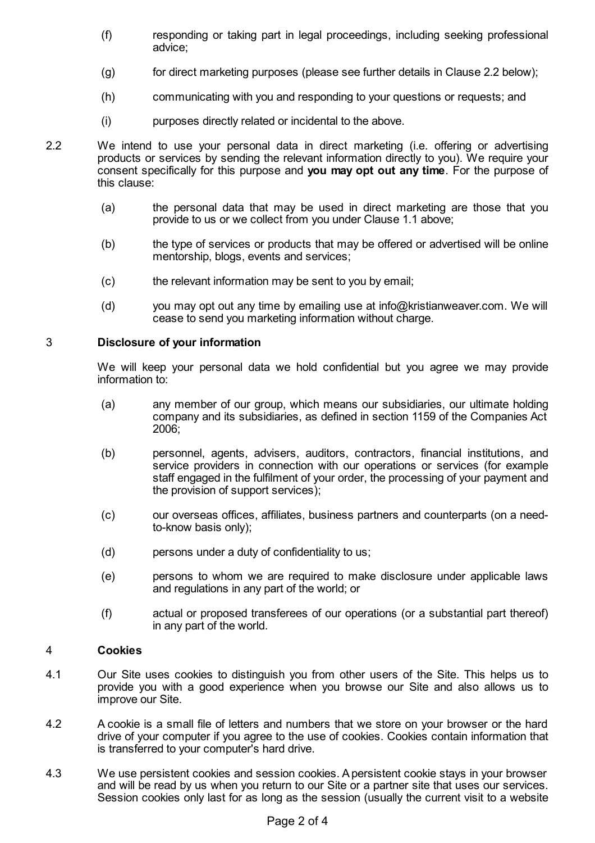- (f) responding or taking part in legal proceedings, including seeking professional advice;
- (g) for direct marketing purposes (please see further details in Clause 2.2 below);
- (h) communicating with you and responding to your questions or requests; and
- (i) purposes directly related or incidental to the above.
- 2.2 We intend to use your personal data in direct marketing (i.e. offering or advertising products or services by sending the relevant information directly to you). We require your consent specifically for this purpose and **you may opt out any time**. For the purpose of this clause:
	- (a) the personal data that may be used in direct marketing are those that you provide to us or we collect from you under Clause 1.1 above;
	- (b) the type of services or products that may be offered or advertised will be online mentorship, blogs, events and services;
	- (c) the relevant information may be sent to you by email;
	- (d) you may opt out any time by emailing use at info@kristianweaver.com. We will cease to send you marketing information without charge.

### 3 **Disclosure of your information**

We will keep your personal data we hold confidential but you agree we may provide information to:

- (a) any member of our group, which means our subsidiaries, our ultimate holding company and its subsidiaries, as defined in section 1159 of the Companies Act 2006;
- (b) personnel, agents, advisers, auditors, contractors, financial institutions, and service providers in connection with our operations or services (for example staff engaged in the fulfilment of your order, the processing of your payment and the provision of support services);
- (c) our overseas offices, affiliates, business partners and counterparts (on a needto-know basis only);
- (d) persons under a duty of confidentiality to us;
- (e) persons to whom we are required to make disclosure under applicable laws and regulations in any part of the world; or
- (f) actual or proposed transferees of our operations (or a substantial part thereof) in any part of the world.

#### 4 **Cookies**

- 4.1 Our Site uses cookies to distinguish you from other users of the Site. This helps us to provide you with a good experience when you browse our Site and also allows us to improve our Site.
- 4.2 A cookie is a small file of letters and numbers that we store on your browser or the hard drive of your computer if you agree to the use of cookies. Cookies contain information that is transferred to your computer's hard drive.
- 4.3 We use persistent cookies and session cookies. Apersistent cookie stays in your browser and will be read by us when you return to our Site or a partner site that uses our services. Session cookies only last for as long as the session (usually the current visit to a website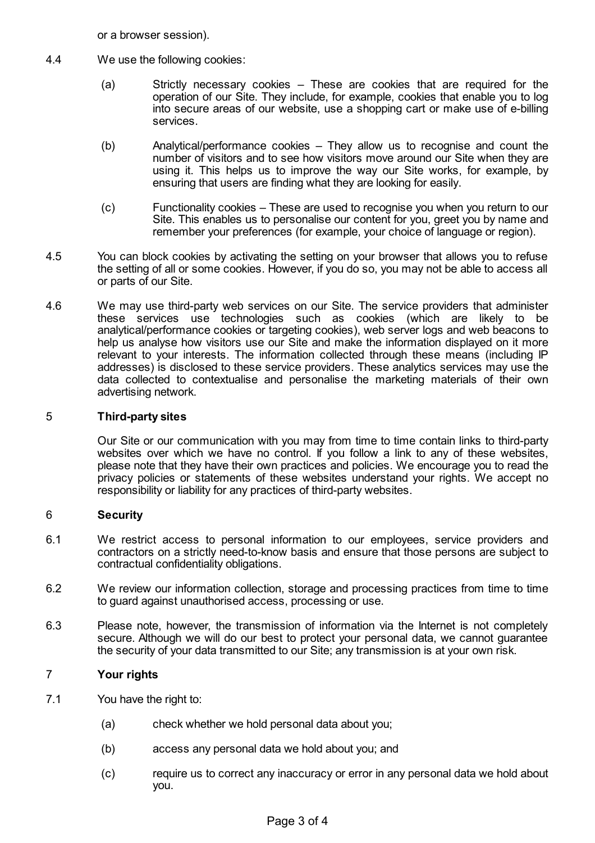or a browser session).

- 4.4 We use the following cookies:
	- (a) Strictly necessary cookies These are cookies that are required for the operation of our Site. They include, for example, cookies that enable you to log into secure areas of our website, use a shopping cart or make use of e-billing services.
	- (b) Analytical/performance cookies They allow us to recognise and count the number of visitors and to see how visitors move around our Site when they are using it. This helps us to improve the way our Site works, for example, by ensuring that users are finding what they are looking for easily.
	- (c) Functionality cookies These are used to recognise you when you return to our Site. This enables us to personalise our content for you, greet you by name and remember your preferences (for example, your choice of language or region).
- 4.5 You can block cookies by activating the setting on your browser that allows you to refuse the setting of all or some cookies. However, if you do so, you may not be able to access all or parts of our Site.
- 4.6 We may use third-party web services on our Site. The service providers that administer these services use technologies such as cookies (which are likely to be analytical/performance cookies or targeting cookies), web server logs and web beacons to help us analyse how visitors use our Site and make the information displayed on it more relevant to your interests. The information collected through these means (including IP addresses) is disclosed to these service providers. These analytics services may use the data collected to contextualise and personalise the marketing materials of their own advertising network.

### 5 **Third-party sites**

Our Site or our communication with you may from time to time contain links to third-party websites over which we have no control. If you follow a link to any of these websites, please note that they have their own practices and policies. We encourage you to read the privacy policies or statements of these websites understand your rights. We accept no responsibility or liability for any practices of third-party websites.

### 6 **Security**

- 6.1 We restrict access to personal information to our employees, service providers and contractors on a strictly need-to-know basis and ensure that those persons are subject to contractual confidentiality obligations.
- 6.2 We review our information collection, storage and processing practices from time to time to guard against unauthorised access, processing or use.
- 6.3 Please note, however, the transmission of information via the Internet is not completely secure. Although we will do our best to protect your personal data, we cannot guarantee the security of your data transmitted to our Site; any transmission is at your own risk.

# 7 **Your rights**

- <span id="page-2-0"></span>7.1 You have the right to:
	- (a) check whether we hold personal data about you;
	- (b) access any personal data we hold about you; and
	- (c) require us to correct any inaccuracy or error in any personal data we hold about you.